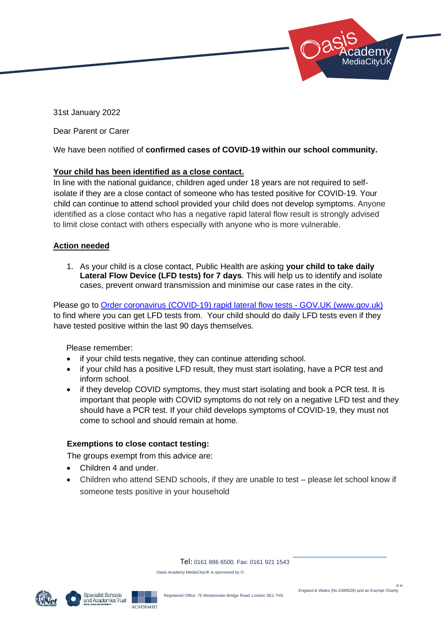31st January 2022

Dear Parent or Carer

We have been notified of **confirmed cases of COVID-19 within our school community.**

# **Your child has been identified as a close contact.**

In line with the national guidance, children aged under 18 years are not required to selfisolate if they are a close contact of someone who has tested positive for COVID-19. Your child can continue to attend school provided your child does not develop symptoms. Anyone identified as a close contact who has a negative rapid lateral flow result is strongly advised to limit close contact with others especially with anyone who is more vulnerable.

# **Action needed**

1. As your child is a close contact, Public Health are asking **your child to take daily Lateral Flow Device (LFD tests) for 7 days**. This will help us to identify and isolate cases, prevent onward transmission and minimise our case rates in the city.

Please go to [Order coronavirus \(COVID-19\) rapid lateral flow tests -](https://www.gov.uk/order-coronavirus-rapid-lateral-flow-tests) GOV.UK (www.gov.uk) to find where you can get LFD tests from. Your child should do daily LFD tests even if they have tested positive within the last 90 days themselves.

Please remember:

- if your child tests negative, they can continue attending school.
- if your child has a positive LFD result, they must start isolating, have a PCR test and inform school.
- if they develop COVID symptoms, they must start isolating and book a PCR test. It is important that people with COVID symptoms do not rely on a negative LFD test and they should have a PCR test. If your child develops symptoms of COVID-19, they must not come to school and should remain at home.

# **Exemptions to close contact testing:**

The groups exempt from this advice are:

ACADEMIES

- Children 4 and under.
- Children who attend SEND schools, if they are unable to test please let school know if someone tests positive in your household

Tel: 0161 886 6500. Fax: 0161 921 1543

Oasis Academy MediaCityUK is sponsored by O



 Academy: MediaCityUK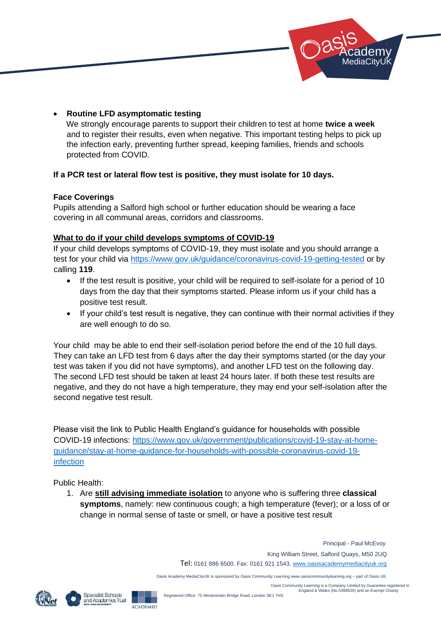

# • **Routine LFD asymptomatic testing**

We strongly encourage parents to support their children to test at home **twice a week** and to register their results, even when negative. This important testing helps to pick up the infection early, preventing further spread, keeping families, friends and schools protected from COVID.

# **If a PCR test or lateral flow test is positive, they must isolate for 10 days.**

#### **Face Coverings**

Pupils attending a Salford high school or further education should be wearing a face covering in all communal areas, corridors and classrooms.

# **What to do if your child develops symptoms of COVID-19**

If your child develops symptoms of COVID-19, they must isolate and you should arrange a test for your child via<https://www.gov.uk/guidance/coronavirus-covid-19-getting-tested> or by calling **119**.

- If the test result is positive, your child will be required to self-isolate for a period of 10 days from the day that their symptoms started. Please inform us if your child has a positive test result.
- If your child's test result is negative, they can continue with their normal activities if they are well enough to do so.

Your child may be able to end their self-isolation period before the end of the 10 full days. They can take an LFD test from 6 days after the day their symptoms started (or the day your test was taken if you did not have symptoms), and another LFD test on the following day. The second LFD test should be taken at least 24 hours later. If both these test results are negative, and they do not have a high temperature, they may end your self-isolation after the second negative test result.

Please visit the link to Public Health England's guidance for households with possible COVID-19 infections: [https://www.gov.uk/government/publications/covid-19-stay-at-home](https://www.gov.uk/government/publications/covid-19-stay-at-home-guidance/stay-at-home-guidance-for-households-with-possible-coronavirus-covid-19-infection)[guidance/stay-at-home-guidance-for-households-with-possible-coronavirus-covid-19](https://www.gov.uk/government/publications/covid-19-stay-at-home-guidance/stay-at-home-guidance-for-households-with-possible-coronavirus-covid-19-infection) [infection](https://www.gov.uk/government/publications/covid-19-stay-at-home-guidance/stay-at-home-guidance-for-households-with-possible-coronavirus-covid-19-infection)

Public Health:

1. Are **still advising immediate isolation** to anyone who is suffering three **classical symptoms**, namely: new continuous cough; a high temperature (fever); or a loss of or change in normal sense of taste or smell, or have a positive test result

> Principal - Paul McEvoy King William Street, Salford Quays, M50 2UQ Tel: 0161 886 6500. Fax: 0161 921 1543. www.oasisacademymediacityuk.org

Oasis Academy MediaCityUK is sponsored by Oasis Community Learning www.oasiscommunitylearning.org – part of Oasis UK.

 Oasis Community Learning is a Company Limited by Guarantee registered in England & Wales (No.5398529) and an Exempt Charity

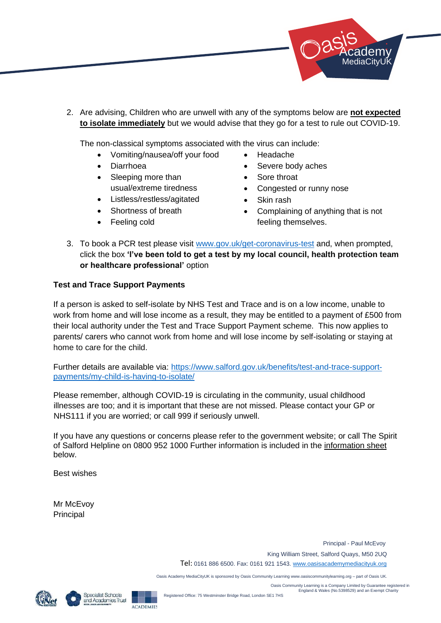

2. Are advising, Children who are unwell with any of the symptoms below are **not expected to isolate immediately** but we would advise that they go for a test to rule out COVID-19.

The non-classical symptoms associated with the virus can include:

- Vomiting/nausea/off your food
- Diarrhoea
- Sleeping more than usual/extreme tiredness
- Listless/restless/agitated
- Shortness of breath
- Feeling cold
- Headache
- Severe body aches
- Sore throat
- Congested or runny nose
- Skin rash
- Complaining of anything that is not feeling themselves.
- 3. To book a PCR test please visit [www.gov.uk/get-coronavirus-test](http://www.gov.uk/get-coronavirus-test) and, when prompted, click the box **'I've been told to get a test by my local council, health protection team or healthcare professional'** option

# **Test and Trace Support Payments**

If a person is asked to self-isolate by NHS Test and Trace and is on a low income, unable to work from home and will lose income as a result, they may be entitled to a payment of £500 from their local authority under the Test and Trace Support Payment scheme. This now applies to parents/ carers who cannot work from home and will lose income by self-isolating or staying at home to care for the child.

Further details are available via: [https://www.salford.gov.uk/benefits/test-and-trace-support](https://www.salford.gov.uk/benefits/test-and-trace-support-payments/my-child-is-having-to-isolate/)[payments/my-child-is-having-to-isolate/](https://www.salford.gov.uk/benefits/test-and-trace-support-payments/my-child-is-having-to-isolate/)

Please remember, although COVID-19 is circulating in the community, usual childhood illnesses are too; and it is important that these are not missed. Please contact your GP or NHS111 if you are worried; or call 999 if seriously unwell.

If you have any questions or concerns please refer to the government website; or call The Spirit of Salford Helpline on 0800 952 1000 Further information is included in the information sheet below.

Best wishes

Mr McEvoy Principal

> Principal - Paul McEvoy King William Street, Salford Quays, M50 2UQ Tel: 0161 886 6500. Fax: 0161 921 1543. www.oasisacademymediacityuk.org

Oasis Academy MediaCityUK is sponsored by Oasis Community Learning www.oasiscommunitylearning.org – part of Oasis UK.

 Oasis Community Learning is a Company Limited by Guarantee registered in England & Wales (No.5398529) and an Exempt Charity



Specialist Schools and Academies Trust ACADEMIES

Registered Office: 75 Westminster Bridge Road, London SE1 7HS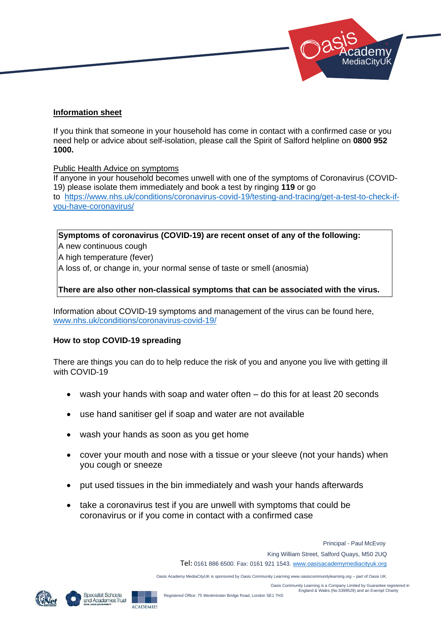

#### **Information sheet**

If you think that someone in your household has come in contact with a confirmed case or you need help or advice about self-isolation, please call the Spirit of Salford helpline on **0800 952 1000.** 

#### Public Health Advice on symptoms

If anyone in your household becomes unwell with one of the symptoms of Coronavirus (COVID-19) please isolate them immediately and book a test by ringing **119** or go to [https://www.nhs.uk/conditions/coronavirus-covid-19/testing-and-tracing/get-a-test-to-check-if](https://www.nhs.uk/conditions/coronavirus-covid-19/testing-and-tracing/get-a-test-to-check-if-you-have-coronavirus/)[you-have-coronavirus/](https://www.nhs.uk/conditions/coronavirus-covid-19/testing-and-tracing/get-a-test-to-check-if-you-have-coronavirus/)

### **Symptoms of coronavirus (COVID-19) are recent onset of any of the following:**

A new continuous cough

A high temperature (fever)

A loss of, or change in, your normal sense of taste or smell (anosmia)

#### **There are also other non-classical symptoms that can be associated with the virus.**

Information about COVID-19 symptoms and management of the virus can be found here, [www.nhs.uk/conditions/coronavirus-covid-19/](http://www.nhs.uk/conditions/coronavirus-covid-19/)

#### **How to stop COVID-19 spreading**

There are things you can do to help reduce the risk of you and anyone you live with getting ill with COVID-19

- wash your hands with soap and water often  $-$  do this for at least 20 seconds
- use hand sanitiser gel if soap and water are not available
- wash your hands as soon as you get home
- cover your mouth and nose with a tissue or your sleeve (not your hands) when you cough or sneeze
- put used tissues in the bin immediately and wash your hands afterwards
- take a coronavirus test if you are unwell with symptoms that could be coronavirus or if you come in contact with a confirmed case

 Principal - Paul McEvoy King William Street, Salford Quays, M50 2UQ Tel: 0161 886 6500. Fax: 0161 921 1543. www.oasisacademymediacityuk.org

Oasis Academy MediaCityUK is sponsored by Oasis Community Learning www.oasiscommunitylearning.org – part of Oasis UK.

 Oasis Community Learning is a Company Limited by Guarantee registered in England & Wales (No.5398529) and an Exempt Charity



Specialist Schools and Academies Trust ACADEMIES